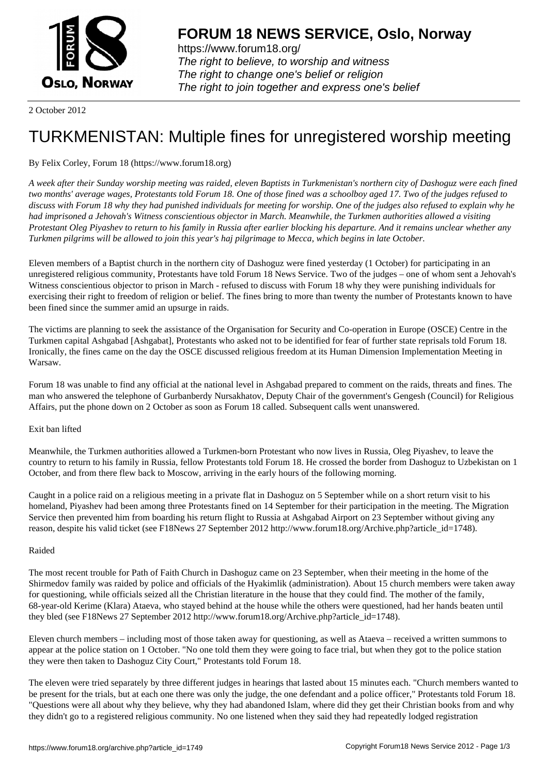

https://www.forum18.org/ The right to believe, to worship and witness The right to change one's belief or religion [The right to join together a](https://www.forum18.org/)nd express one's belief

2 October 2012

# [TURKMENISTA](https://www.forum18.org)N: Multiple fines for unregistered worship meeting

# By Felix Corley, Forum 18 (https://www.forum18.org)

*A week after their Sunday worship meeting was raided, eleven Baptists in Turkmenistan's northern city of Dashoguz were each fined two months' average wages, Protestants told Forum 18. One of those fined was a schoolboy aged 17. Two of the judges refused to discuss with Forum 18 why they had punished individuals for meeting for worship. One of the judges also refused to explain why he had imprisoned a Jehovah's Witness conscientious objector in March. Meanwhile, the Turkmen authorities allowed a visiting Protestant Oleg Piyashev to return to his family in Russia after earlier blocking his departure. And it remains unclear whether any Turkmen pilgrims will be allowed to join this year's haj pilgrimage to Mecca, which begins in late October.*

Eleven members of a Baptist church in the northern city of Dashoguz were fined yesterday (1 October) for participating in an unregistered religious community, Protestants have told Forum 18 News Service. Two of the judges – one of whom sent a Jehovah's Witness conscientious objector to prison in March - refused to discuss with Forum 18 why they were punishing individuals for exercising their right to freedom of religion or belief. The fines bring to more than twenty the number of Protestants known to have been fined since the summer amid an upsurge in raids.

The victims are planning to seek the assistance of the Organisation for Security and Co-operation in Europe (OSCE) Centre in the Turkmen capital Ashgabad [Ashgabat], Protestants who asked not to be identified for fear of further state reprisals told Forum 18. Ironically, the fines came on the day the OSCE discussed religious freedom at its Human Dimension Implementation Meeting in Warsaw.

Forum 18 was unable to find any official at the national level in Ashgabad prepared to comment on the raids, threats and fines. The man who answered the telephone of Gurbanberdy Nursakhatov, Deputy Chair of the government's Gengesh (Council) for Religious Affairs, put the phone down on 2 October as soon as Forum 18 called. Subsequent calls went unanswered.

## Exit ban lifted

Meanwhile, the Turkmen authorities allowed a Turkmen-born Protestant who now lives in Russia, Oleg Piyashev, to leave the country to return to his family in Russia, fellow Protestants told Forum 18. He crossed the border from Dashoguz to Uzbekistan on 1 October, and from there flew back to Moscow, arriving in the early hours of the following morning.

Caught in a police raid on a religious meeting in a private flat in Dashoguz on 5 September while on a short return visit to his homeland, Piyashev had been among three Protestants fined on 14 September for their participation in the meeting. The Migration Service then prevented him from boarding his return flight to Russia at Ashgabad Airport on 23 September without giving any reason, despite his valid ticket (see F18News 27 September 2012 http://www.forum18.org/Archive.php?article\_id=1748).

## Raided

The most recent trouble for Path of Faith Church in Dashoguz came on 23 September, when their meeting in the home of the Shirmedov family was raided by police and officials of the Hyakimlik (administration). About 15 church members were taken away for questioning, while officials seized all the Christian literature in the house that they could find. The mother of the family, 68-year-old Kerime (Klara) Ataeva, who stayed behind at the house while the others were questioned, had her hands beaten until they bled (see F18News 27 September 2012 http://www.forum18.org/Archive.php?article\_id=1748).

Eleven church members – including most of those taken away for questioning, as well as Ataeva – received a written summons to appear at the police station on 1 October. "No one told them they were going to face trial, but when they got to the police station they were then taken to Dashoguz City Court," Protestants told Forum 18.

The eleven were tried separately by three different judges in hearings that lasted about 15 minutes each. "Church members wanted to be present for the trials, but at each one there was only the judge, the one defendant and a police officer," Protestants told Forum 18. "Questions were all about why they believe, why they had abandoned Islam, where did they get their Christian books from and why they didn't go to a registered religious community. No one listened when they said they had repeatedly lodged registration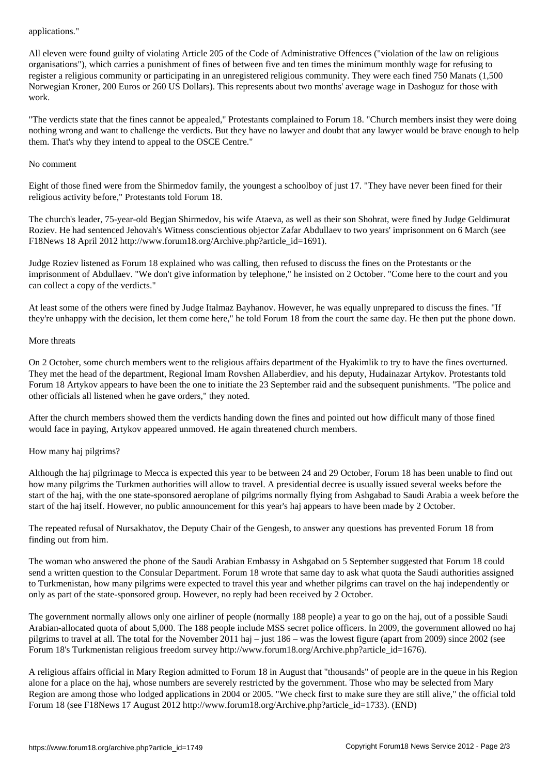All eleven were found guilty of violating Article 205 of the Code of Administrative Offences ("violation of the law on religious organisations"), which carries a punishment of fines of between five and ten times the minimum monthly wage for refusing to register a religious community or participating in an unregistered religious community. They were each fined 750 Manats (1,500 Norwegian Kroner, 200 Euros or 260 US Dollars). This represents about two months' average wage in Dashoguz for those with work.

"The verdicts state that the fines cannot be appealed," Protestants complained to Forum 18. "Church members insist they were doing nothing wrong and want to challenge the verdicts. But they have no lawyer and doubt that any lawyer would be brave enough to help them. That's why they intend to appeal to the OSCE Centre."

#### No comment

Eight of those fined were from the Shirmedov family, the youngest a schoolboy of just 17. "They have never been fined for their religious activity before," Protestants told Forum 18.

The church's leader, 75-year-old Begjan Shirmedov, his wife Ataeva, as well as their son Shohrat, were fined by Judge Geldimurat Roziev. He had sentenced Jehovah's Witness conscientious objector Zafar Abdullaev to two years' imprisonment on 6 March (see F18News 18 April 2012 http://www.forum18.org/Archive.php?article\_id=1691).

Judge Roziev listened as Forum 18 explained who was calling, then refused to discuss the fines on the Protestants or the imprisonment of Abdullaev. "We don't give information by telephone," he insisted on 2 October. "Come here to the court and you can collect a copy of the verdicts."

At least some of the others were fined by Judge Italmaz Bayhanov. However, he was equally unprepared to discuss the fines. "If they're unhappy with the decision, let them come here," he told Forum 18 from the court the same day. He then put the phone down.

#### More threats

On 2 October, some church members went to the religious affairs department of the Hyakimlik to try to have the fines overturned. They met the head of the department, Regional Imam Rovshen Allaberdiev, and his deputy, Hudainazar Artykov. Protestants told Forum 18 Artykov appears to have been the one to initiate the 23 September raid and the subsequent punishments. "The police and other officials all listened when he gave orders," they noted.

After the church members showed them the verdicts handing down the fines and pointed out how difficult many of those fined would face in paying, Artykov appeared unmoved. He again threatened church members.

## How many haj pilgrims?

Although the haj pilgrimage to Mecca is expected this year to be between 24 and 29 October, Forum 18 has been unable to find out how many pilgrims the Turkmen authorities will allow to travel. A presidential decree is usually issued several weeks before the start of the haj, with the one state-sponsored aeroplane of pilgrims normally flying from Ashgabad to Saudi Arabia a week before the start of the haj itself. However, no public announcement for this year's haj appears to have been made by 2 October.

The repeated refusal of Nursakhatov, the Deputy Chair of the Gengesh, to answer any questions has prevented Forum 18 from finding out from him.

The woman who answered the phone of the Saudi Arabian Embassy in Ashgabad on 5 September suggested that Forum 18 could send a written question to the Consular Department. Forum 18 wrote that same day to ask what quota the Saudi authorities assigned to Turkmenistan, how many pilgrims were expected to travel this year and whether pilgrims can travel on the haj independently or only as part of the state-sponsored group. However, no reply had been received by 2 October.

The government normally allows only one airliner of people (normally 188 people) a year to go on the haj, out of a possible Saudi Arabian-allocated quota of about 5,000. The 188 people include MSS secret police officers. In 2009, the government allowed no haj pilgrims to travel at all. The total for the November 2011 haj – just 186 – was the lowest figure (apart from 2009) since 2002 (see Forum 18's Turkmenistan religious freedom survey http://www.forum18.org/Archive.php?article\_id=1676).

A religious affairs official in Mary Region admitted to Forum 18 in August that "thousands" of people are in the queue in his Region alone for a place on the haj, whose numbers are severely restricted by the government. Those who may be selected from Mary Region are among those who lodged applications in 2004 or 2005. "We check first to make sure they are still alive," the official told Forum 18 (see F18News 17 August 2012 http://www.forum18.org/Archive.php?article\_id=1733). (END)